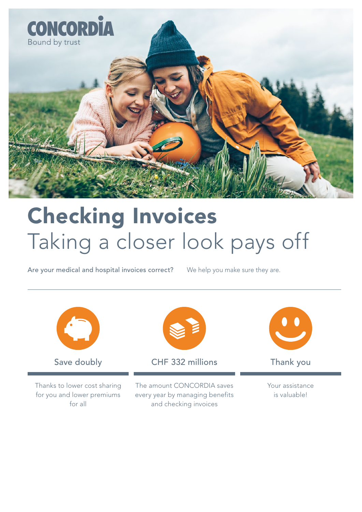

### Checking Invoices Taking a closer look pays off

Are your medical and hospital invoices correct? We help you make sure they are.

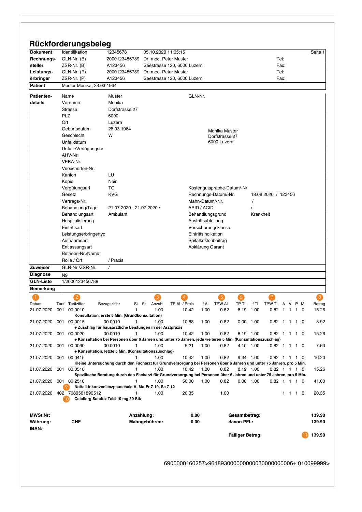| <b>Dokument</b>                                                                                                                                      | Identifikation               | 12345678                                                                                                               | 05.10.2020 11:05:15   |                             |                     |                             |                  |           |                     |         |     | Seite 1                   |
|------------------------------------------------------------------------------------------------------------------------------------------------------|------------------------------|------------------------------------------------------------------------------------------------------------------------|-----------------------|-----------------------------|---------------------|-----------------------------|------------------|-----------|---------------------|---------|-----|---------------------------|
| Rechnungs-                                                                                                                                           | GLN-Nr. (B)                  | 2000123456789                                                                                                          | Dr. med. Peter Muster |                             |                     |                             |                  |           | Tel:                |         |     |                           |
| steller                                                                                                                                              | $ZSR-Nr.$ (B)                | A123456                                                                                                                |                       | Seestrasse 120, 6000 Luzern |                     |                             |                  |           |                     | Fax:    |     |                           |
| Leistungs-                                                                                                                                           | $GLN-Nr.$ $(P)$              | 2000123456789                                                                                                          | Dr. med. Peter Muster |                             |                     |                             |                  |           | Tel:                |         |     |                           |
| erbringer                                                                                                                                            | $ZSR-Nr.$ $(P)$              | A123456                                                                                                                |                       | Seestrasse 120, 6000 Luzern |                     |                             |                  |           |                     | Fax:    |     |                           |
| <b>Patient</b>                                                                                                                                       | Muster Monika, 28.03.1964    |                                                                                                                        |                       |                             |                     |                             |                  |           |                     |         |     |                           |
|                                                                                                                                                      |                              |                                                                                                                        |                       |                             |                     |                             |                  |           |                     |         |     |                           |
| <b>Patienten-</b><br>details                                                                                                                         | Name                         | Muster                                                                                                                 |                       | GLN-Nr.                     |                     |                             |                  |           |                     |         |     |                           |
|                                                                                                                                                      | Vorname                      | Monika                                                                                                                 |                       |                             |                     |                             |                  |           |                     |         |     |                           |
|                                                                                                                                                      | <b>Strasse</b>               | Dorfstrasse 27                                                                                                         |                       |                             |                     |                             |                  |           |                     |         |     |                           |
|                                                                                                                                                      | PLZ                          | 6000                                                                                                                   |                       |                             |                     |                             |                  |           |                     |         |     |                           |
|                                                                                                                                                      | Ort                          | Luzern                                                                                                                 |                       |                             |                     |                             |                  |           |                     |         |     |                           |
|                                                                                                                                                      | Geburtsdatum                 | 28.03.1964                                                                                                             |                       |                             |                     | Monika Muster               |                  |           |                     |         |     |                           |
|                                                                                                                                                      | Geschlecht                   | W                                                                                                                      |                       |                             |                     | Dorfstrasse 27              |                  |           |                     |         |     |                           |
|                                                                                                                                                      | Unfalldatum                  |                                                                                                                        |                       |                             |                     | 6000 Luzern                 |                  |           |                     |         |     |                           |
|                                                                                                                                                      | Unfall-/Verfügungsnr.        |                                                                                                                        |                       |                             |                     |                             |                  |           |                     |         |     |                           |
|                                                                                                                                                      | AHV-Nr.                      |                                                                                                                        |                       |                             |                     |                             |                  |           |                     |         |     |                           |
|                                                                                                                                                      | VEKA-Nr.                     |                                                                                                                        |                       |                             |                     |                             |                  |           |                     |         |     |                           |
|                                                                                                                                                      | Versicherten-Nr.             |                                                                                                                        |                       |                             |                     |                             |                  |           |                     |         |     |                           |
|                                                                                                                                                      | Kanton                       | LU                                                                                                                     |                       |                             |                     |                             |                  |           |                     |         |     |                           |
|                                                                                                                                                      | Kopie                        | Nein                                                                                                                   |                       |                             |                     |                             |                  |           |                     |         |     |                           |
|                                                                                                                                                      | Vergütungsart                | ТG                                                                                                                     |                       |                             |                     | Kostengutsprache-Datum/-Nr. |                  |           |                     |         |     |                           |
|                                                                                                                                                      | Gesetz                       | <b>KVG</b>                                                                                                             |                       |                             |                     |                             |                  |           |                     |         |     |                           |
|                                                                                                                                                      |                              |                                                                                                                        |                       |                             |                     | Rechnungs-Datum/-Nr.        |                  |           | 18.08.2020 / 123456 |         |     |                           |
|                                                                                                                                                      | Vertrags-Nr.                 |                                                                                                                        |                       |                             | Mahn-Datum/-Nr.     |                             |                  | $\prime$  |                     |         |     |                           |
|                                                                                                                                                      | Behandlung/Tage              | 21.07.2020 - 21.07.2020 /                                                                                              |                       |                             | APID / ACID         |                             |                  |           |                     |         |     |                           |
|                                                                                                                                                      | Behandlungsart               | Ambulant                                                                                                               |                       |                             | Behandlungsgrund    |                             |                  | Krankheit |                     |         |     |                           |
|                                                                                                                                                      | Hospitalisierung             |                                                                                                                        |                       |                             | Austrittsabteilung  |                             |                  |           |                     |         |     |                           |
|                                                                                                                                                      | Eintrittsart                 |                                                                                                                        |                       |                             |                     | Versicherungsklasse         |                  |           |                     |         |     |                           |
|                                                                                                                                                      | Leistungserbringertyp        |                                                                                                                        |                       |                             | Eintrittsindikation |                             |                  |           |                     |         |     |                           |
|                                                                                                                                                      | Aufnahmeart                  |                                                                                                                        |                       |                             |                     | Spitalkostenbeitrag         |                  |           |                     |         |     |                           |
|                                                                                                                                                      | Entlassungsart               |                                                                                                                        |                       |                             | Abklärung Garant    |                             |                  |           |                     |         |     |                           |
|                                                                                                                                                      | Betriebs-Nr./Name            |                                                                                                                        |                       |                             |                     |                             |                  |           |                     |         |     |                           |
|                                                                                                                                                      | Rolle / Ort                  | / Praxis                                                                                                               |                       |                             |                     |                             |                  |           |                     |         |     |                           |
| <b>Zuweiser</b>                                                                                                                                      |                              |                                                                                                                        |                       |                             |                     |                             |                  |           |                     |         |     |                           |
|                                                                                                                                                      | GLN-Nr./ZSR-Nr.              | $\prime$                                                                                                               |                       |                             |                     |                             |                  |           |                     |         |     |                           |
|                                                                                                                                                      | N <sub>9</sub>               |                                                                                                                        |                       |                             |                     |                             |                  |           |                     |         |     |                           |
|                                                                                                                                                      | 1/2000123456789              |                                                                                                                        |                       |                             |                     |                             |                  |           |                     |         |     |                           |
|                                                                                                                                                      |                              |                                                                                                                        |                       |                             |                     |                             |                  |           |                     |         |     |                           |
|                                                                                                                                                      |                              |                                                                                                                        |                       |                             |                     | 5                           |                  |           |                     |         |     |                           |
|                                                                                                                                                      | <b>Tarif</b> Tarifziffer     | Bezugsziffer<br>Si                                                                                                     | St Anzahl             | TP AL / Preis               |                     | f AL TPW AL                 | TP TL            |           | f TL TPW TL A V     |         | P M | Betrag                    |
|                                                                                                                                                      | 21.07.2020 001 00.0010       | 1                                                                                                                      | 1.00                  | 10.42                       | 1.00                | 0.82                        | 8.19 1.00        |           | $0.82$ 1 1 1 0      |         |     | 15.26                     |
|                                                                                                                                                      |                              | Konsultation, erste 5 Min. (Grundkonsultation)                                                                         |                       |                             |                     |                             |                  |           |                     |         |     |                           |
|                                                                                                                                                      | 001 00.0015                  | $\mathbf{1}$<br>00.0010                                                                                                | 1.00                  | 10.88                       | 1.00                | 0.82                        | $0.00$ 1.00      |           | $0.82$ 1 1 1 0      |         |     |                           |
|                                                                                                                                                      |                              | + Zuschlag für hausärztliche Leistungen in der Arztpraxis                                                              |                       |                             |                     |                             |                  |           |                     |         |     |                           |
|                                                                                                                                                      | 001 00.0020                  | 00.0010<br>1                                                                                                           | 1.00                  | 10.42                       | 1.00                | 0.82                        | 8.19 1.00        |           | $0.82$ 1 1 1 0      |         |     |                           |
|                                                                                                                                                      |                              | + Konsultation bei Personen über 6 Jahren und unter 75 Jahren, jede weiteren 5 Min. (Konsultationszuschlag)<br>1       |                       |                             |                     |                             |                  |           |                     |         |     | 8.92<br>15.26             |
|                                                                                                                                                      | 001 00.0030                  | 00.0010<br>+ Konsultation, letzte 5 Min. (Konsultationszuschlag)                                                       | 1.00                  | 5.21                        | 1.00                | 0.82                        | 4.10 1.00        |           | $0.82$ 1 1 1 0      |         |     | 7.63                      |
|                                                                                                                                                      | 001 00.0415                  | 1.                                                                                                                     | 1.00                  | 10.42                       | 1.00                | 0.82                        | 9.34 1.00        |           | $0.82$ 1 1 1 0      |         |     | 16.20                     |
|                                                                                                                                                      |                              | Kleine Untersuchung durch den Facharzt für Grundversorgung bei Personen über 6 Jahren und unter 75 Jahren, pro 5 Min.  |                       |                             |                     |                             |                  |           |                     |         |     |                           |
|                                                                                                                                                      | 001 00:0510                  | 1.                                                                                                                     | 1.00                  | 10.42                       | 1.00                | 0.82                        | 8.19 1.00        |           | $0.82$ 1 1 1 0      |         |     |                           |
|                                                                                                                                                      |                              | Spezifische Beratung durch den Facharzt für Grundversorgung bei Personen über 6 Jahren und unter 75 Jahren, pro 5 Min. |                       |                             |                     |                             |                  |           |                     |         |     |                           |
| <b>Diagnose</b><br><b>GLN-Liste</b><br><b>Bemerkung</b><br>Datum<br>21.07.2020<br>21.07.2020<br>21.07.2020<br>21.07.2020<br>21.07.2020<br>21.07.2020 | 001 00.2510                  | 1                                                                                                                      | 1.00                  | 50.00                       | 1.00                | 0.82                        | $0.00$ 1.00      |           | $0.82$ 1 1 1 0      |         |     | 15.26<br>41.00            |
|                                                                                                                                                      | -9                           | Notfall-Inkonvenienzpauschale A, Mo-Fr 7-19, Sa 7-12                                                                   |                       |                             |                     |                             |                  |           |                     |         |     |                           |
|                                                                                                                                                      | 21.07.2020 402 7680561890512 | 1                                                                                                                      | 1.00                  | 20.35                       |                     | 1.00                        |                  |           |                     | 1 1 1 0 |     |                           |
|                                                                                                                                                      |                              | Cetallerg Sandoz Tabl 10 mg 30 Stk                                                                                     |                       |                             |                     |                             |                  |           |                     |         |     |                           |
|                                                                                                                                                      |                              |                                                                                                                        |                       |                             |                     |                             |                  |           |                     |         |     |                           |
| <b>MWSt Nr:</b>                                                                                                                                      |                              |                                                                                                                        | Anzahlung:            | 0.00                        |                     |                             | Gesamtbetrag:    |           |                     |         |     |                           |
|                                                                                                                                                      | CHF                          |                                                                                                                        | Mahngebühren:         | 0.00                        |                     |                             | davon PFL:       |           |                     |         |     |                           |
| Währung:<br>IBAN:                                                                                                                                    |                              |                                                                                                                        |                       |                             |                     |                             |                  |           |                     |         |     | 20.35<br>139.90<br>139.90 |
|                                                                                                                                                      |                              |                                                                                                                        |                       |                             |                     |                             | Fälliger Betrag: |           |                     |         |     | 139.90                    |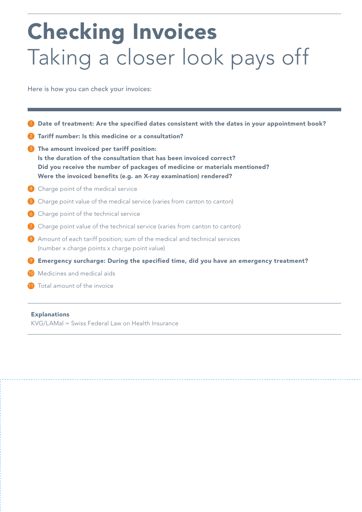# Checking Invoices Taking a closer look pays off

Here is how you can check your invoices:

|                    | Date of treatment: Are the specified dates consistent with the dates in your appointment book?                                                                                                                                                                    |
|--------------------|-------------------------------------------------------------------------------------------------------------------------------------------------------------------------------------------------------------------------------------------------------------------|
|                    | Tariff number: Is this medicine or a consultation?                                                                                                                                                                                                                |
| $\left( 3 \right)$ | The amount invoiced per tariff position:<br>Is the duration of the consultation that has been invoiced correct?<br>Did you receive the number of packages of medicine or materials mentioned?<br>Were the invoiced benefits (e.g. an X-ray examination) rendered? |
|                    | Charge point of the medical service                                                                                                                                                                                                                               |
|                    | Charge point value of the medical service (varies from canton to canton)                                                                                                                                                                                          |
| (6)                | Charge point of the technical service                                                                                                                                                                                                                             |
|                    | Charge point value of the technical service (varies from canton to canton)                                                                                                                                                                                        |
| (8)                | Amount of each tariff position; sum of the medical and technical services<br>(number x charge points x charge point value)                                                                                                                                        |
|                    | Emergency surcharge: During the specified time, did you have an emergency treatment?                                                                                                                                                                              |
| (10)               | Medicines and medical aids                                                                                                                                                                                                                                        |
|                    | Total amount of the invoice                                                                                                                                                                                                                                       |

#### Explanations

KVG/LAMal = Swiss Federal Law on Health Insurance